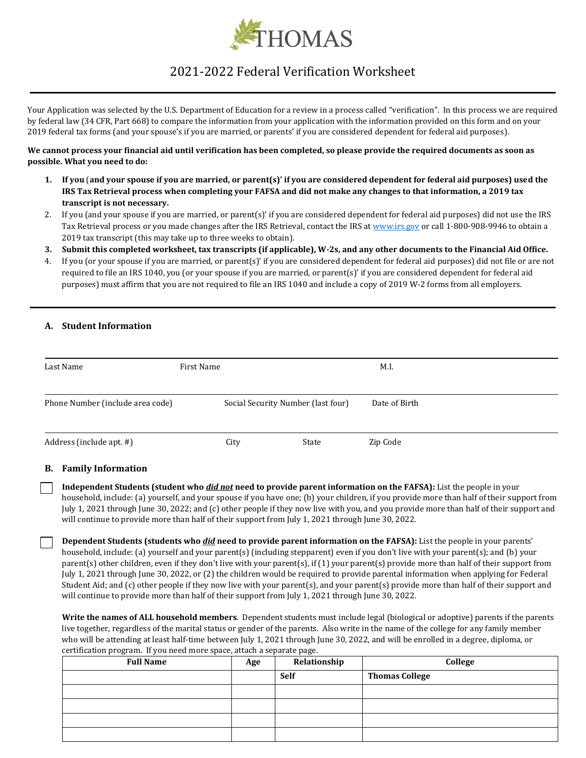

# 2021-2022 Federal Verification Worksheet

Your Application was selected by the U.S. Department of Education for a review in a process called "verification". In this process we are required by federal law (34 CFR, Part 668) to compare the information from your application with the information provided on this form and on your 2019 federal tax forms (and your spouse's if you are married, or parents' if you are considered dependent for federal aid purposes).

## **We cannot process your financial aid until verification has been completed, so please provide the required documents as soon as possible. What you need to do:**

- **1. If you** (**and your spouse if you are married, or parent(s)' if you are considered dependent for federal aid purposes) used the IRS Tax Retrieval process when completing your FAFSA and did not make any changes to that information, a 2019 tax transcript is not necessary.**
- 2. If you (and your spouse if you are married, or parent(s)' if you are considered dependent for federal aid purposes) did not use the IRS Tax Retrieval process or you made changes after the IRS Retrieval, contact the IRS at [www.irs.gov](http://www.irs.gov/) or call 1-800-908-9946 to obtain a 2019 tax transcript (this may take up to three weeks to obtain).
- **3. Submit this completed worksheet, tax transcripts (if applicable), W-2s, and any other documents to the Financial Aid Office.**
- 4. If you (or your spouse if you are married, or parent(s)' if you are considered dependent for federal aid purposes) did not file or are not required to file an IRS 1040, you (or your spouse if you are married, or parent(s)' if you are considered dependent for federal aid purposes) must affirm that you are not required to file an IRS 1040 and include a copy of 2019 W-2 forms from all employers.

# **A. Student Information**

| Last Name                        | First Name |                                    | M.I.          |  |
|----------------------------------|------------|------------------------------------|---------------|--|
| Phone Number (include area code) |            | Social Security Number (last four) | Date of Birth |  |
| Address (include apt. #)         | City       | State                              | Zip Code      |  |

# **B. Family Information**

**Independent Students (student who** *did not* **need to provide parent information on the FAFSA):** List the people in your household, include: (a) yourself, and your spouse if you have one; (b) your children, if you provide more than half of their support from July 1, 2021 through June 30, 2022; and (c) other people if they now live with you, and you provide more than half of their support and will continue to provide more than half of their support from July 1, 2021 through June 30, 2022.

**Dependent Students (students who** *did* **need to provide parent information on the FAFSA):** List the people in your parents' household, include: (a) yourself and your parent(s) (including stepparent) even if you don't live with your parent(s); and (b) your parent(s) other children, even if they don't live with your parent(s), if (1) your parent(s) provide more than half of their support from July 1, 2021 through June 30, 2022, or (2) the children would be required to provide parental information when applying for Federal Student Aid; and (c) other people if they now live with your parent(s), and your parent(s) provide more than half of their support and will continue to provide more than half of their support from July 1, 2021 through June 30, 2022.

**Write the names of ALL household members**. Dependent students must include legal (biological or adoptive) parents if the parents live together, regardless of the marital status or gender of the parents. Also write in the name of the college for any family member who will be attending at least half-time between July 1, 2021 through June 30, 2022, and will be enrolled in a degree, diploma, or certification program. If you need more space, attach a separate page.

| <b>Full Name</b> | Age | Relationship | College               |
|------------------|-----|--------------|-----------------------|
|                  |     | <b>Self</b>  | <b>Thomas College</b> |
|                  |     |              |                       |
|                  |     |              |                       |
|                  |     |              |                       |
|                  |     |              |                       |